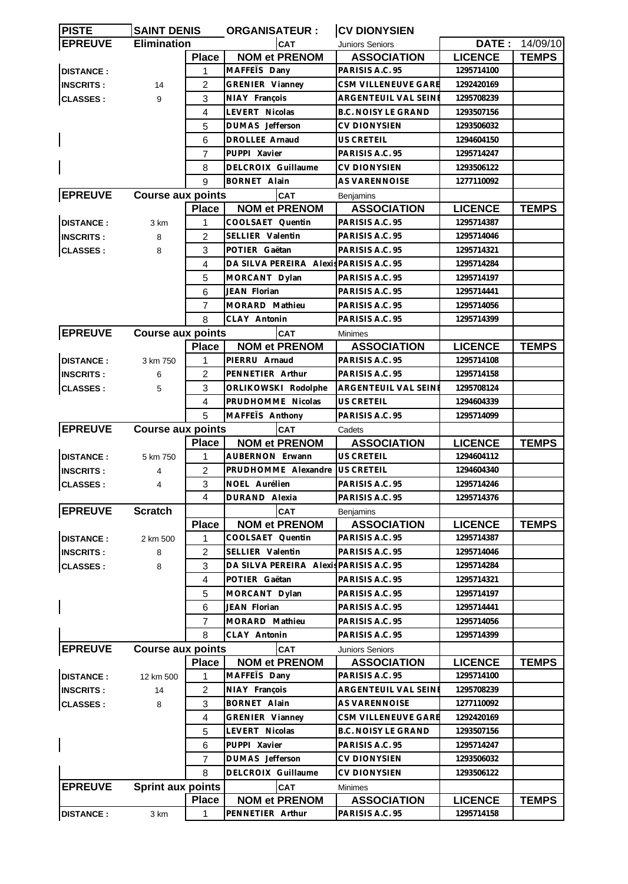| <b>PISTE</b>     | <b>SAINT DENIS</b>       |                         | <b>ORGANISATEUR:</b>                    | <b>CV DIONYSIEN</b>             |                |                |
|------------------|--------------------------|-------------------------|-----------------------------------------|---------------------------------|----------------|----------------|
| <b>EPREUVE</b>   | <b>Elimination</b>       |                         | <b>CAT</b>                              | Juniors Seniors                 |                | DATE: 14/09/10 |
|                  |                          | <b>Place</b>            | <b>NOM et PRENOM</b>                    | <b>ASSOCIATION</b>              | <b>LICENCE</b> | <b>TEMPS</b>   |
| <b>DISTANCE:</b> |                          | 1                       | MAFFETS Dany                            | PARISIS A.C. 95                 | 1295714100     |                |
| <b>INSCRITS:</b> | 14                       | $\overline{2}$          | GRENIER Vianney                         | CSM VILLENEUVE GARE             | 1292420169     |                |
| <b>CLASSES:</b>  | 9                        | 3                       | NIAY François                           | ARGENTEUIL VAL SEINI            | 1295708239     |                |
|                  |                          | 4                       | LEVERT Nicolas                          | <b>B.C. NOISY LE GRAND</b>      | 1293507156     |                |
|                  |                          | 5                       | DUMAS Jefferson                         | CV DIONYSIEN                    | 1293506032     |                |
|                  |                          | 6                       | <b>DROLLEE Arnaud</b>                   | US CRETEIL                      | 1294604150     |                |
|                  |                          | 7                       | PUPPI Xavier                            | PARISIS A.C. 95                 | 1295714247     |                |
|                  |                          | 8                       | DELCROIX Guillaume                      | CV DIONYSIEN                    | 1293506122     |                |
|                  |                          | 9                       | <b>BORNET Alain</b>                     | AS VARENNOISE                   | 1277110092     |                |
| <b>EPREUVE</b>   | <b>Course aux points</b> |                         | <b>CAT</b>                              | Benjamins                       |                |                |
|                  |                          | <b>Place</b>            | <b>NOM et PRENOM</b>                    | <b>ASSOCIATION</b>              | <b>LICENCE</b> | <b>TEMPS</b>   |
| <b>DISTANCE:</b> | 3 km                     | 1                       | COOLSAET Quentin                        | PARISIS A.C. 95                 | 1295714387     |                |
| <b>INSCRITS:</b> | 8                        | $\overline{2}$          | SELLIER Valentin                        | PARISIS A.C. 95                 | 1295714046     |                |
| <b>CLASSES:</b>  | 8                        | 3                       | POTIER Gaëtan                           | PARISIS A.C. 95                 | 1295714321     |                |
|                  |                          | 4                       | DA SILVA PEREIRA Alexis PARISIS A.C. 95 |                                 | 1295714284     |                |
|                  |                          | 5                       | MORCANT Dylan                           | PARISIS A.C. 95                 | 1295714197     |                |
|                  |                          | 6                       | JEAN Florian                            | PARISIS A.C. 95                 | 1295714441     |                |
|                  |                          | 7                       | MORARD Mathieu                          | PARISIS A.C. 95                 | 1295714056     |                |
|                  |                          | 8                       | CLAY Antonin                            | PARISIS A.C. 95                 | 1295714399     |                |
| <b>EPREUVE</b>   | <b>Course aux points</b> |                         | <b>CAT</b>                              | <b>Minimes</b>                  |                |                |
|                  |                          | <b>Place</b>            | <b>NOM et PRENOM</b>                    | <b>ASSOCIATION</b>              | <b>LICENCE</b> | <b>TEMPS</b>   |
| <b>DISTANCE:</b> | 3 km 750                 | 1                       | PIERRU Arnaud                           | PARISIS A.C. 95                 | 1295714108     |                |
| <b>INSCRITS:</b> | 6                        | 2                       | PENNETIER Arthur                        | PARISIS A.C. 95                 | 1295714158     |                |
| <b>CLASSES:</b>  | 5                        | 3                       | ORLIKOWSKI Rodolphe                     | <b>ARGENTEUIL VAL SEINE</b>     | 1295708124     |                |
|                  |                          | 4                       | PRUDHOMME Nicolas                       | US CRETEIL                      | 1294604339     |                |
|                  |                          | 5                       | MAFFEIS Anthony                         | PARISIS A.C. 95                 | 1295714099     |                |
| <b>EPREUVE</b>   | <b>Course aux points</b> |                         | <b>CAT</b>                              | Cadets                          |                |                |
|                  |                          | <b>Place</b>            | <b>NOM et PRENOM</b>                    | <b>ASSOCIATION</b>              | <b>LICENCE</b> | <b>TEMPS</b>   |
| <b>DISTANCE:</b> | 5 km 750                 | 1                       | <b>AUBERNON Erwann</b>                  | US CRETEIL                      | 1294604112     |                |
| <b>INSCRITS:</b> | 4                        | $\overline{2}$          | PRUDHOMME Alexandre                     | <b>US CRETEIL</b>               | 1294604340     |                |
| <b>CLASSES:</b>  | 4                        | 3                       | NOEL Aurélien                           | PARISIS A.C. 95                 | 1295714246     |                |
|                  |                          | $\overline{\mathbf{4}}$ | DURAND Alexia                           | PARISIS A.C. 95                 | 1295714376     |                |
| <b>EPREUVE</b>   | <b>Scratch</b>           |                         | <b>CAT</b>                              |                                 |                |                |
|                  |                          | <b>Place</b>            | <b>NOM et PRENOM</b>                    | Benjamins<br><b>ASSOCIATION</b> | <b>LICENCE</b> | <b>TEMPS</b>   |
| <b>DISTANCE:</b> | 2 km 500                 | 1                       | COOLSAET Quentin                        | PARISIS A.C. 95                 | 1295714387     |                |
| <b>INSCRITS:</b> | 8                        | 2                       | SELLIER Valentin                        | PARISIS A.C. 95                 | 1295714046     |                |
| <b>CLASSES:</b>  | 8                        | 3                       | DA SILVA PEREIRA Alexis PARISIS A.C. 95 |                                 | 1295714284     |                |
|                  |                          | 4                       | POTIER Gaëtan                           | PARISIS A.C. 95                 | 1295714321     |                |
|                  |                          | 5                       | MORCANT Dylan                           | PARISIS A.C. 95                 | 1295714197     |                |
|                  |                          | 6                       | JEAN Florian                            | PARISIS A.C. 95                 | 1295714441     |                |
|                  |                          | $\overline{7}$          | MORARD Mathieu                          | PARISIS A.C. 95                 | 1295714056     |                |
|                  |                          | 8                       | CLAY Antonin                            | PARISIS A.C. 95                 | 1295714399     |                |
| <b>EPREUVE</b>   |                          |                         |                                         |                                 |                |                |
|                  | <b>Course aux points</b> |                         | CAT                                     | <b>Juniors Seniors</b>          |                |                |
|                  |                          | <b>Place</b>            | <b>NOM et PRENOM</b>                    | <b>ASSOCIATION</b>              | <b>LICENCE</b> | <b>TEMPS</b>   |
| <b>DISTANCE:</b> | 12 km 500                | 1                       | MAFFETS Dany                            | PARISIS A.C. 95                 | 1295714100     |                |
| <b>INSCRITS:</b> | 14                       | $\overline{c}$          | NIAY François                           | ARGENTEUIL VAL SEINE            | 1295708239     |                |
| <b>CLASSES:</b>  | 8                        | 3                       | <b>BORNET Alain</b>                     | AS VARENNOISE                   | 1277110092     |                |
|                  |                          | $\overline{4}$          | GRENIER Vianney                         | CSM VILLENEUVE GARE             | 1292420169     |                |
|                  |                          | 5                       | LEVERT Nicolas                          | <b>B.C. NOISY LE GRAND</b>      | 1293507156     |                |
|                  |                          | 6                       | PUPPI Xavier                            | PARISIS A.C. 95                 | 1295714247     |                |
|                  |                          | 7                       | DUMAS Jefferson                         | <b>CV DIONYSIEN</b>             | 1293506032     |                |
|                  |                          | 8                       | DELCROIX Guillaume                      | <b>CV DIONYSIEN</b>             | 1293506122     |                |
| <b>EPREUVE</b>   | <b>Sprint aux points</b> |                         | <b>CAT</b>                              | Minimes                         |                |                |
|                  |                          | <b>Place</b>            | <b>NOM et PRENOM</b>                    | <b>ASSOCIATION</b>              | <b>LICENCE</b> | <b>TEMPS</b>   |
| <b>DISTANCE:</b> | 3 km                     | 1                       | PENNETIER Arthur                        | PARISIS A.C. 95                 | 1295714158     |                |